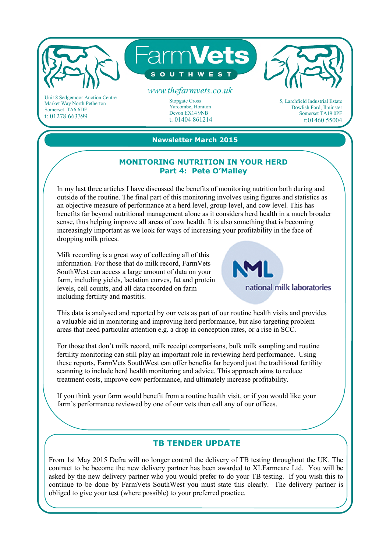

Market Way North Petherton Somerset TA6 6DF t: 01278 663399

Stopgate Cross Yarcombe, Honiton Devon EX14 9NB t: 01404 861214 5, Larchfield Industrial Estate Dowlish Ford, Ilminster Somerset TA19 0PF t:01460 55004

**Newsletter March 2015**

## **MONITORING NUTRITION IN YOUR HERD Part 4: Pete O'Malley**

In my last three articles I have discussed the benefits of monitoring nutrition both during and outside of the routine. The final part of this monitoring involves using figures and statistics as an objective measure of performance at a herd level, group level, and cow level. This has benefits far beyond nutritional management alone as it considers herd health in a much broader sense, thus helping improve all areas of cow health. It is also something that is becoming increasingly important as we look for ways of increasing your profitability in the face of dropping milk prices.

Milk recording is a great way of collecting all of this information. For those that do milk record, FarmVets SouthWest can access a large amount of data on your farm, including yields, lactation curves, fat and protein levels, cell counts, and all data recorded on farm including fertility and mastitis.



This data is analysed and reported by our vets as part of our routine health visits and provides a valuable aid in monitoring and improving herd performance, but also targeting problem areas that need particular attention e.g. a drop in conception rates, or a rise in SCC.

For those that don't milk record, milk receipt comparisons, bulk milk sampling and routine fertility monitoring can still play an important role in reviewing herd performance. Using these reports, FarmVets SouthWest can offer benefits far beyond just the traditional fertility scanning to include herd health monitoring and advice. This approach aims to reduce treatment costs, improve cow performance, and ultimately increase profitability.

If you think your farm would benefit from a routine health visit, or if you would like your farm's performance reviewed by one of our vets then call any of our offices.

## **TB TENDER UPDATE**

From 1st May 2015 Defra will no longer control the delivery of TB testing throughout the UK. The contract to be become the new delivery partner has been awarded to XLFarmcare Ltd. You will be asked by the new delivery partner who you would prefer to do your TB testing. If you wish this to continue to be done by FarmVets SouthWest you must state this clearly. The delivery partner is obliged to give your test (where possible) to your preferred practice.